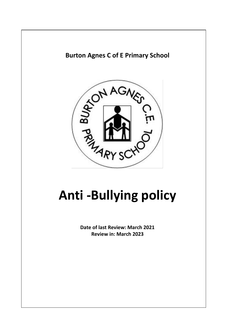

**Burton Agnes C of E Primary School**

# **Anti -Bullying policy**

**Date of last Review: March 2021 Review in: March 2023**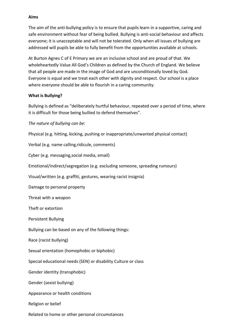#### **Aims**

The aim of the anti-bullying policy is to ensure that pupils learn in a supportive, caring and safe environment without fear of being bullied. Bullying is anti-social behaviour and affects everyone; it is unacceptable and will not be tolerated. Only when all issues of bullying are addressed will pupils be able to fully benefit from the opportunities available at schools.

At Burton Agnes C of E Primary we are an inclusive school and are proud of that. We wholeheartedly Value All God's Children as defined by the Church of England. We believe that all people are made in the image of God and are unconditionally loved by God. Everyone is equal and we treat each other with dignity and respect. Our school is a place where everyone should be able to flourish in a caring community.

### **What is Bullying?**

Bullying is defined as "deliberately hurtful behaviour, repeated over a period of time, where it is difficult for those being bullied to defend themselves".

*The nature of bullying can be:* 

Physical (e.g. hitting, kicking, pushing or inappropriate/unwanted physical contact)

Verbal (e.g. name calling,ridicule, comments)

Cyber (e.g. messaging,social media, email)

Emotional/indirect/segregation (e.g. excluding someone, spreading rumours)

Visual/written (e.g. graffiti, gestures, wearing racist insignia)

Damage to personal property

Threat with a weapon

Theft or extortion

Persistent Bullying

Bullying can be based on any of the following things:

Race (racist bullying)

Sexual orientation (homophobic or biphobic)

Special educational needs (SEN) or disability Culture or class

Gender identity (transphobic)

Gender (sexist bullying)

Appearance or health conditions

Religion or belief

Related to home or other personal circumstances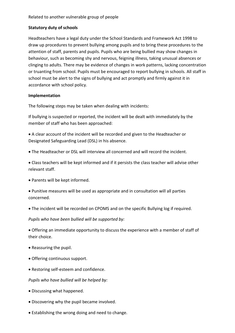# **Statutory duty of schools**

Headteachers have a legal duty under the School Standards and Framework Act 1998 to draw up procedures to prevent bullying among pupils and to bring these procedures to the attention of staff, parents and pupils. Pupils who are being bullied may show changes in behaviour, such as becoming shy and nervous, feigning illness, taking unusual absences or clinging to adults. There may be evidence of changes in work patterns, lacking concentration or truanting from school. Pupils must be encouraged to report bullying in schools. All staff in school must be alert to the signs of bullying and act promptly and firmly against it in accordance with school policy.

### **Implementation**

The following steps may be taken when dealing with incidents:

If bullying is suspected or reported, the incident will be dealt with immediately by the member of staff who has been approached:

 A clear account of the incident will be recorded and given to the Headteacher or Designated Safeguarding Lead (DSL) in his absence.

The Headteacher or DSL will interview all concerned and will record the incident.

 Class teachers will be kept informed and if it persists the class teacher will advise other relevant staff.

Parents will be kept informed.

 Punitive measures will be used as appropriate and in consultation will all parties concerned.

The incident will be recorded on CPOMS and on the specific Bullying log if required.

*Pupils who have been bullied will be supported by:* 

 Offering an immediate opportunity to discuss the experience with a member of staff of their choice.

- Reassuring the pupil.
- Offering continuous support.
- Restoring self-esteem and confidence.

### *Pupils who have bullied will be helped by:*

- Discussing what happened.
- Discovering why the pupil became involved.
- Establishing the wrong doing and need to change.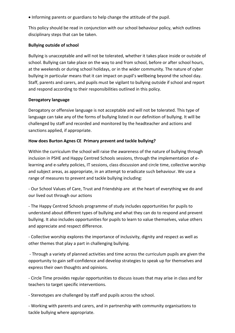Informing parents or guardians to help change the attitude of the pupil.

This policy should be read in conjunction with our school behaviour policy, which outlines disciplinary steps that can be taken.

## **Bullying outside of school**

Bullying is unacceptable and will not be tolerated, whether it takes place inside or outside of school. Bullying can take place on the way to and from school, before or after school hours, at the weekends or during school holidays, or in the wider community. The nature of cyber bullying in particular means that it can impact on pupil's wellbeing beyond the school day. Staff, parents and carers, and pupils must be vigilant to bullying outside if school and report and respond according to their responsibilities outlined in this policy.

# **Derogatory language**

Derogatory or offensive language is not acceptable and will not be tolerated. This type of language can take any of the forms of bullying listed in our definition of bullying. It will be challenged by staff and recorded and monitored by the headteacher and actions and sanctions applied, if appropriate.

# **How does Burton Agnes CE Primary prevent and tackle bullying?**

Within the curriculum the school will raise the awareness of the nature of bullying through inclusion in PSHE and Happy Centred Schools sessions, through the implementation of elearning and e-safety policies, IT sessions, class discussion and circle time, collective worship and subject areas, as appropriate, in an attempt to eradicate such behaviour. We use a range of measures to prevent and tackle bullying including:

- Our School Values of Care, Trust and Friendship are at the heart of everything we do and our lived out through our actions

- The Happy Centred Schools programme of study includes opportunities for pupils to understand about different types of bullying and what they can do to respond and prevent bullying. It also includes opportunities for pupils to learn to value themselves, value others and appreciate and respect difference.

- Collective worship explores the importance of inclusivity, dignity and respect as well as other themes that play a part in challenging bullying.

- Through a variety of planned activities and time across the curriculum pupils are given the opportunity to gain self-confidence and develop strategies to speak up for themselves and express their own thoughts and opinions.

- Circle Time provides regular opportunities to discuss issues that may arise in class and for teachers to target specific interventions.

- Stereotypes are challenged by staff and pupils across the school.

- Working with parents and carers, and in partnership with community organisations to tackle bullying where appropriate.